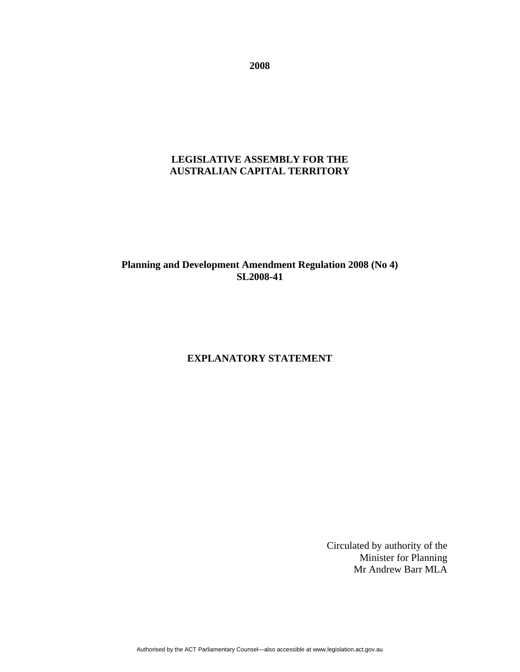**2008** 

# **LEGISLATIVE ASSEMBLY FOR THE AUSTRALIAN CAPITAL TERRITORY**

# **Planning and Development Amendment Regulation 2008 (No 4) SL2008-41**

### **EXPLANATORY STATEMENT**

Circulated by authority of the Minister for Planning Mr Andrew Barr MLA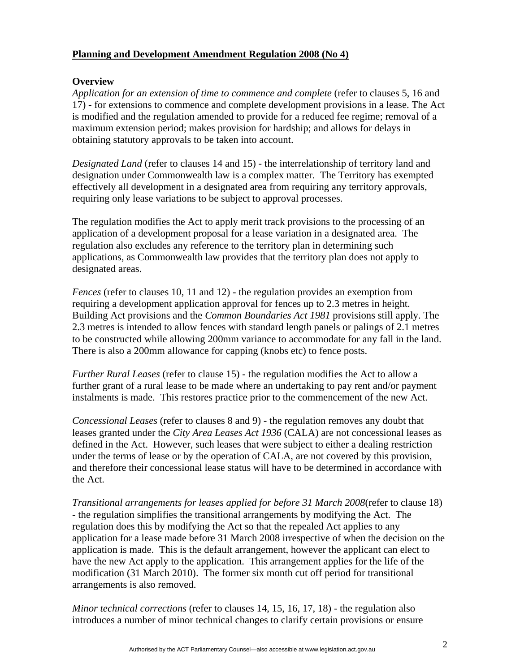### **Planning and Development Amendment Regulation 2008 (No 4)**

### **Overview**

*Application for an extension of time to commence and complete* (refer to clauses 5, 16 and 17) - for extensions to commence and complete development provisions in a lease. The Act is modified and the regulation amended to provide for a reduced fee regime; removal of a maximum extension period; makes provision for hardship; and allows for delays in obtaining statutory approvals to be taken into account.

*Designated Land* (refer to clauses 14 and 15) - the interrelationship of territory land and designation under Commonwealth law is a complex matter. The Territory has exempted effectively all development in a designated area from requiring any territory approvals, requiring only lease variations to be subject to approval processes.

The regulation modifies the Act to apply merit track provisions to the processing of an application of a development proposal for a lease variation in a designated area. The regulation also excludes any reference to the territory plan in determining such applications, as Commonwealth law provides that the territory plan does not apply to designated areas.

*Fences* (refer to clauses 10, 11 and 12) - the regulation provides an exemption from requiring a development application approval for fences up to 2.3 metres in height. Building Act provisions and the *Common Boundaries Act 1981* provisions still apply. The 2.3 metres is intended to allow fences with standard length panels or palings of 2.1 metres to be constructed while allowing 200mm variance to accommodate for any fall in the land. There is also a 200mm allowance for capping (knobs etc) to fence posts.

*Further Rural Leases* (refer to clause 15) - the regulation modifies the Act to allow a further grant of a rural lease to be made where an undertaking to pay rent and/or payment instalments is made. This restores practice prior to the commencement of the new Act.

*Concessional Leases* (refer to clauses 8 and 9) - the regulation removes any doubt that leases granted under the *City Area Leases Act 1936* (CALA) are not concessional leases as defined in the Act. However, such leases that were subject to either a dealing restriction under the terms of lease or by the operation of CALA, are not covered by this provision, and therefore their concessional lease status will have to be determined in accordance with the Act.

*Transitional arrangements for leases applied for before 31 March 2008*(refer to clause 18) - the regulation simplifies the transitional arrangements by modifying the Act. The regulation does this by modifying the Act so that the repealed Act applies to any application for a lease made before 31 March 2008 irrespective of when the decision on the application is made. This is the default arrangement, however the applicant can elect to have the new Act apply to the application. This arrangement applies for the life of the modification (31 March 2010). The former six month cut off period for transitional arrangements is also removed.

*Minor technical corrections* (refer to clauses 14, 15, 16, 17, 18) - the regulation also introduces a number of minor technical changes to clarify certain provisions or ensure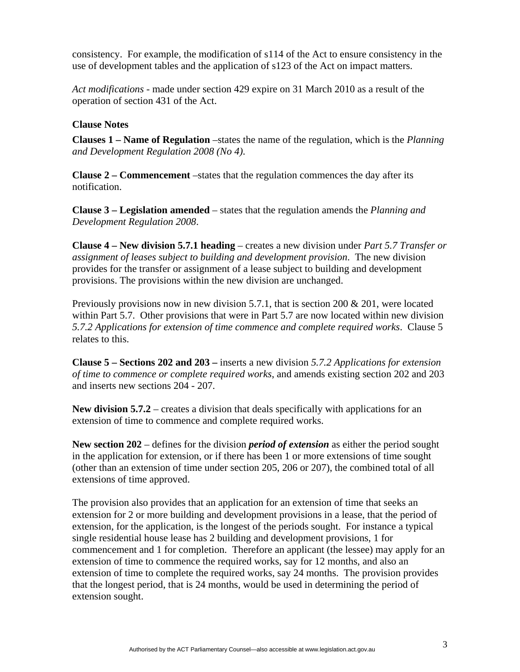consistency. For example, the modification of s114 of the Act to ensure consistency in the use of development tables and the application of s123 of the Act on impact matters.

*Act modifications* - made under section 429 expire on 31 March 2010 as a result of the operation of section 431 of the Act.

### **Clause Notes**

**Clauses 1 – Name of Regulation** –states the name of the regulation, which is the *Planning and Development Regulation 2008 (No 4)*.

**Clause 2 – Commencement** –states that the regulation commences the day after its notification.

**Clause 3 – Legislation amended** – states that the regulation amends the *Planning and Development Regulation 2008*.

**Clause 4 – New division 5.7.1 heading** – creates a new division under *Part 5.7 Transfer or assignment of leases subject to building and development provision*. The new division provides for the transfer or assignment of a lease subject to building and development provisions. The provisions within the new division are unchanged.

Previously provisions now in new division 5.7.1, that is section 200  $\&$  201, were located within Part 5.7. Other provisions that were in Part 5.7 are now located within new division *5.7.2 Applications for extension of time commence and complete required works*. Clause 5 relates to this.

**Clause 5 – Sections 202 and 203 –** inserts a new division *5.7.2 Applications for extension of time to commence or complete required works*, and amends existing section 202 and 203 and inserts new sections 204 - 207.

**New division 5.7.2** – creates a division that deals specifically with applications for an extension of time to commence and complete required works.

**New section 202** – defines for the division *period of extension* as either the period sought in the application for extension, or if there has been 1 or more extensions of time sought (other than an extension of time under section 205, 206 or 207), the combined total of all extensions of time approved.

The provision also provides that an application for an extension of time that seeks an extension for 2 or more building and development provisions in a lease, that the period of extension, for the application, is the longest of the periods sought. For instance a typical single residential house lease has 2 building and development provisions, 1 for commencement and 1 for completion. Therefore an applicant (the lessee) may apply for an extension of time to commence the required works, say for 12 months, and also an extension of time to complete the required works, say 24 months. The provision provides that the longest period, that is 24 months, would be used in determining the period of extension sought.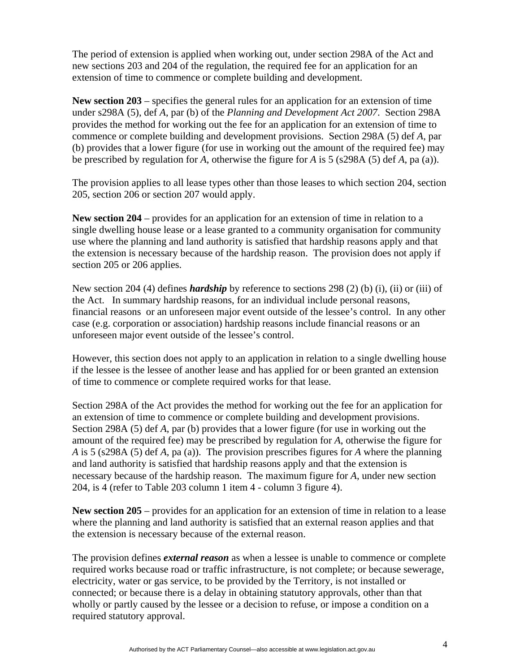The period of extension is applied when working out, under section 298A of the Act and new sections 203 and 204 of the regulation, the required fee for an application for an extension of time to commence or complete building and development.

**New section 203** – specifies the general rules for an application for an extension of time under s298A (5), def *A*, par (b) of the *Planning and Development Act 2007*. Section 298A provides the method for working out the fee for an application for an extension of time to commence or complete building and development provisions. Section 298A (5) def *A*, par (b) provides that a lower figure (for use in working out the amount of the required fee) may be prescribed by regulation for *A*, otherwise the figure for *A* is 5 (s298A (5) def *A*, pa (a)).

The provision applies to all lease types other than those leases to which section 204, section 205, section 206 or section 207 would apply.

**New section 204** – provides for an application for an extension of time in relation to a single dwelling house lease or a lease granted to a community organisation for community use where the planning and land authority is satisfied that hardship reasons apply and that the extension is necessary because of the hardship reason. The provision does not apply if section 205 or 206 applies.

New section 204 (4) defines *hardship* by reference to sections 298 (2) (b) (i), (ii) or (iii) of the Act. In summary hardship reasons, for an individual include personal reasons, financial reasons or an unforeseen major event outside of the lessee's control. In any other case (e.g. corporation or association) hardship reasons include financial reasons or an unforeseen major event outside of the lessee's control.

However, this section does not apply to an application in relation to a single dwelling house if the lessee is the lessee of another lease and has applied for or been granted an extension of time to commence or complete required works for that lease.

Section 298A of the Act provides the method for working out the fee for an application for an extension of time to commence or complete building and development provisions. Section 298A (5) def *A*, par (b) provides that a lower figure (for use in working out the amount of the required fee) may be prescribed by regulation for *A*, otherwise the figure for *A* is 5 (s298A (5) def *A*, pa (a)). The provision prescribes figures for *A* where the planning and land authority is satisfied that hardship reasons apply and that the extension is necessary because of the hardship reason. The maximum figure for *A*, under new section 204, is 4 (refer to Table 203 column 1 item 4 - column 3 figure 4).

**New section 205** – provides for an application for an extension of time in relation to a lease where the planning and land authority is satisfied that an external reason applies and that the extension is necessary because of the external reason.

The provision defines *external reason* as when a lessee is unable to commence or complete required works because road or traffic infrastructure, is not complete; or because sewerage, electricity, water or gas service, to be provided by the Territory, is not installed or connected; or because there is a delay in obtaining statutory approvals, other than that wholly or partly caused by the lessee or a decision to refuse, or impose a condition on a required statutory approval.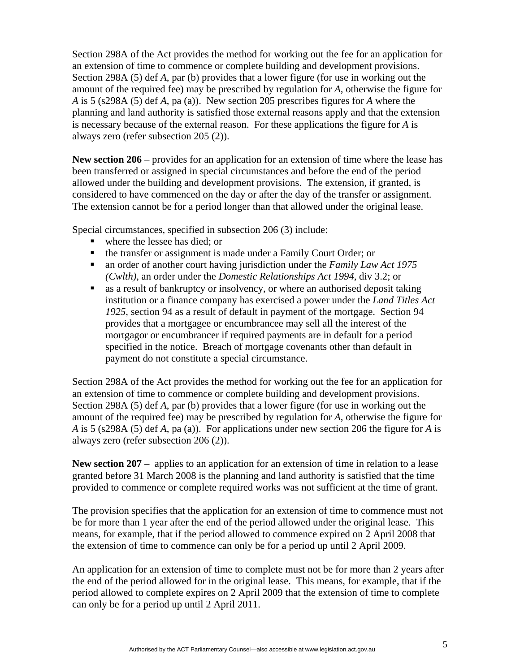Section 298A of the Act provides the method for working out the fee for an application for an extension of time to commence or complete building and development provisions. Section 298A (5) def *A*, par (b) provides that a lower figure (for use in working out the amount of the required fee) may be prescribed by regulation for *A*, otherwise the figure for *A* is 5 (s298A (5) def *A*, pa (a)). New section 205 prescribes figures for *A* where the planning and land authority is satisfied those external reasons apply and that the extension is necessary because of the external reason. For these applications the figure for *A* is always zero (refer subsection 205 (2)).

**New section 206** – provides for an application for an extension of time where the lease has been transferred or assigned in special circumstances and before the end of the period allowed under the building and development provisions. The extension, if granted, is considered to have commenced on the day or after the day of the transfer or assignment. The extension cannot be for a period longer than that allowed under the original lease.

Special circumstances, specified in subsection 206 (3) include:

- where the lessee has died; or
- the transfer or assignment is made under a Family Court Order; or
- an order of another court having jurisdiction under the *Family Law Act 1975 (Cwlth)*, an order under the *Domestic Relationships Act 1994*, div 3.2; or
- as a result of bankruptcy or insolvency, or where an authorised deposit taking institution or a finance company has exercised a power under the *Land Titles Act 1925*, section 94 as a result of default in payment of the mortgage. Section 94 provides that a mortgagee or encumbrancee may sell all the interest of the mortgagor or encumbrancer if required payments are in default for a period specified in the notice. Breach of mortgage covenants other than default in payment do not constitute a special circumstance.

Section 298A of the Act provides the method for working out the fee for an application for an extension of time to commence or complete building and development provisions. Section 298A (5) def *A*, par (b) provides that a lower figure (for use in working out the amount of the required fee) may be prescribed by regulation for *A*, otherwise the figure for *A* is 5 (s298A (5) def *A*, pa (a)). For applications under new section 206 the figure for *A* is always zero (refer subsection 206 (2)).

**New section 207** – applies to an application for an extension of time in relation to a lease granted before 31 March 2008 is the planning and land authority is satisfied that the time provided to commence or complete required works was not sufficient at the time of grant.

The provision specifies that the application for an extension of time to commence must not be for more than 1 year after the end of the period allowed under the original lease. This means, for example, that if the period allowed to commence expired on 2 April 2008 that the extension of time to commence can only be for a period up until 2 April 2009.

An application for an extension of time to complete must not be for more than 2 years after the end of the period allowed for in the original lease. This means, for example, that if the period allowed to complete expires on 2 April 2009 that the extension of time to complete can only be for a period up until 2 April 2011.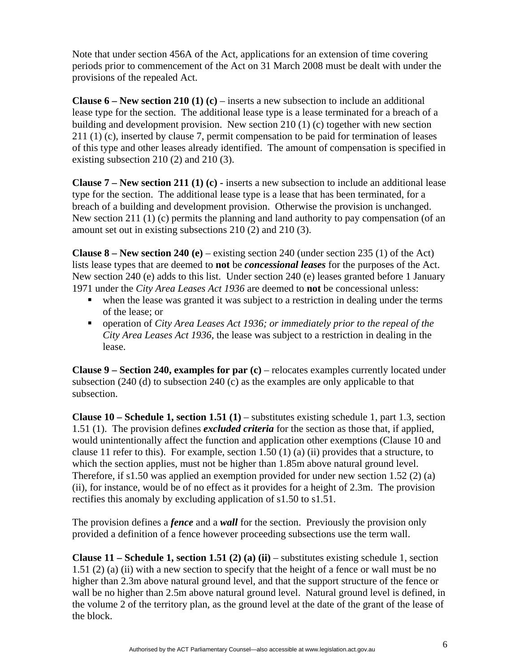Note that under section 456A of the Act, applications for an extension of time covering periods prior to commencement of the Act on 31 March 2008 must be dealt with under the provisions of the repealed Act.

**Clause 6 – New section 210 (1) (c) – inserts a new subsection to include an additional** lease type for the section. The additional lease type is a lease terminated for a breach of a building and development provision. New section 210 (1) (c) together with new section 211 (1) (c), inserted by clause 7, permit compensation to be paid for termination of leases of this type and other leases already identified. The amount of compensation is specified in existing subsection 210 (2) and 210 (3).

**Clause 7 – New section 211 (1) (c) -** inserts a new subsection to include an additional lease type for the section. The additional lease type is a lease that has been terminated, for a breach of a building and development provision. Otherwise the provision is unchanged. New section 211 (1) (c) permits the planning and land authority to pay compensation (of an amount set out in existing subsections 210 (2) and 210 (3).

**Clause 8 – New section 240 (e) – existing section 240 (under section 235 (1) of the Act)** lists lease types that are deemed to **not** be *concessional leases* for the purposes of the Act. New section 240 (e) adds to this list. Under section 240 (e) leases granted before 1 January 1971 under the *City Area Leases Act 1936* are deemed to **not** be concessional unless:

- when the lease was granted it was subject to a restriction in dealing under the terms of the lease; or
- operation of *City Area Leases Act 1936; or immediately prior to the repeal of the City Area Leases Act 1936,* the lease was subject to a restriction in dealing in the lease.

**Clause 9 – Section 240, examples for par (c)** – relocates examples currently located under subsection (240 (d) to subsection 240 (c) as the examples are only applicable to that subsection.

**Clause 10 – Schedule 1, section 1.51 (1)** – substitutes existing schedule 1, part 1.3, section 1.51 (1). The provision defines *excluded criteria* for the section as those that, if applied, would unintentionally affect the function and application other exemptions (Clause 10 and clause 11 refer to this). For example, section 1.50 (1) (a) (ii) provides that a structure, to which the section applies, must not be higher than 1.85m above natural ground level. Therefore, if s1.50 was applied an exemption provided for under new section 1.52 (2) (a) (ii), for instance, would be of no effect as it provides for a height of 2.3m. The provision rectifies this anomaly by excluding application of s1.50 to s1.51.

The provision defines a *fence* and a *wall* for the section. Previously the provision only provided a definition of a fence however proceeding subsections use the term wall.

**Clause 11 – Schedule 1, section 1.51 (2) (a) (ii)** – substitutes existing schedule 1, section 1.51 (2) (a) (ii) with a new section to specify that the height of a fence or wall must be no higher than 2.3m above natural ground level, and that the support structure of the fence or wall be no higher than 2.5m above natural ground level. Natural ground level is defined, in the volume 2 of the territory plan, as the ground level at the date of the grant of the lease of the block.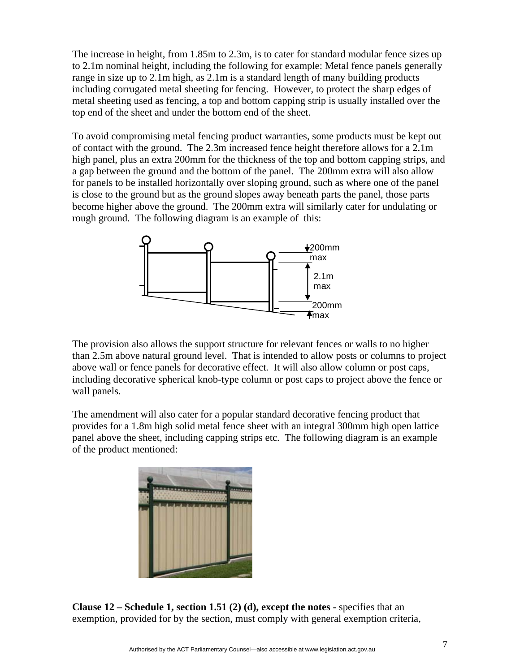The increase in height, from 1.85m to 2.3m, is to cater for standard modular fence sizes up to 2.1m nominal height, including the following for example: Metal fence panels generally range in size up to 2.1m high, as 2.1m is a standard length of many building products including corrugated metal sheeting for fencing. However, to protect the sharp edges of metal sheeting used as fencing, a top and bottom capping strip is usually installed over the top end of the sheet and under the bottom end of the sheet.

To avoid compromising metal fencing product warranties, some products must be kept out of contact with the ground. The 2.3m increased fence height therefore allows for a 2.1m high panel, plus an extra 200mm for the thickness of the top and bottom capping strips, and a gap between the ground and the bottom of the panel. The 200mm extra will also allow for panels to be installed horizontally over sloping ground, such as where one of the panel is close to the ground but as the ground slopes away beneath parts the panel, those parts become higher above the ground. The 200mm extra will similarly cater for undulating or rough ground. The following diagram is an example of this:



The provision also allows the support structure for relevant fences or walls to no higher than 2.5m above natural ground level. That is intended to allow posts or columns to project above wall or fence panels for decorative effect. It will also allow column or post caps, including decorative spherical knob-type column or post caps to project above the fence or wall panels.

The amendment will also cater for a popular standard decorative fencing product that provides for a 1.8m high solid metal fence sheet with an integral 300mm high open lattice panel above the sheet, including capping strips etc. The following diagram is an example of the product mentioned:



**Clause 12 – Schedule 1, section 1.51 (2) (d), except the notes -** specifies that an exemption, provided for by the section, must comply with general exemption criteria,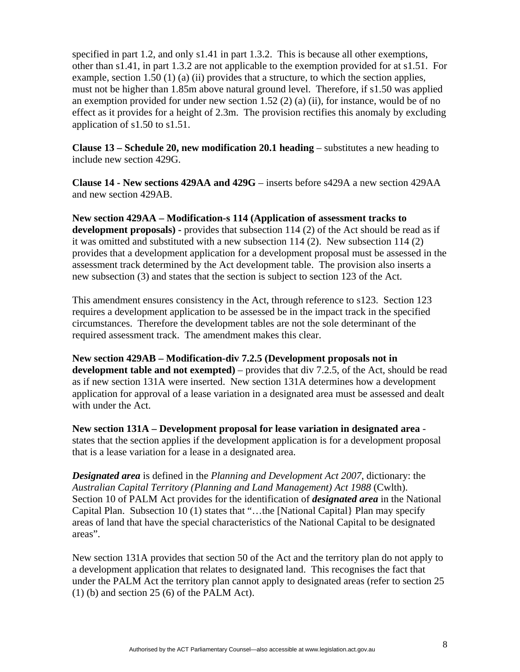specified in part 1.2, and only s1.41 in part 1.3.2. This is because all other exemptions, other than s1.41, in part 1.3.2 are not applicable to the exemption provided for at s1.51. For example, section 1.50 (1) (a) (ii) provides that a structure, to which the section applies, must not be higher than 1.85m above natural ground level. Therefore, if s1.50 was applied an exemption provided for under new section  $1.52$  (2) (a) (ii), for instance, would be of no effect as it provides for a height of 2.3m. The provision rectifies this anomaly by excluding application of s1.50 to s1.51.

**Clause 13 – Schedule 20, new modification 20.1 heading** – substitutes a new heading to include new section 429G.

**Clause 14 - New sections 429AA and 429G** – inserts before s429A a new section 429AA and new section 429AB.

**New section 429AA – Modification-s 114 (Application of assessment tracks to development proposals) -** provides that subsection 114 (2) of the Act should be read as if it was omitted and substituted with a new subsection 114 (2). New subsection 114 (2) provides that a development application for a development proposal must be assessed in the assessment track determined by the Act development table. The provision also inserts a new subsection (3) and states that the section is subject to section 123 of the Act.

This amendment ensures consistency in the Act, through reference to s123. Section 123 requires a development application to be assessed be in the impact track in the specified circumstances. Therefore the development tables are not the sole determinant of the required assessment track. The amendment makes this clear.

**New section 429AB – Modification-div 7.2.5 (Development proposals not in development table and not exempted)** – provides that div 7.2.5, of the Act, should be read as if new section 131A were inserted. New section 131A determines how a development application for approval of a lease variation in a designated area must be assessed and dealt with under the Act.

**New section 131A – Development proposal for lease variation in designated area** states that the section applies if the development application is for a development proposal that is a lease variation for a lease in a designated area.

*Designated area* is defined in the *Planning and Development Act 2007*, dictionary: the *Australian Capital Territory (Planning and Land Management) Act 1988* (Cwlth). Section 10 of PALM Act provides for the identification of *designated area* in the National Capital Plan. Subsection 10 (1) states that "…the [National Capital} Plan may specify areas of land that have the special characteristics of the National Capital to be designated areas".

New section 131A provides that section 50 of the Act and the territory plan do not apply to a development application that relates to designated land. This recognises the fact that under the PALM Act the territory plan cannot apply to designated areas (refer to section 25  $(1)$  (b) and section 25 (6) of the PALM Act).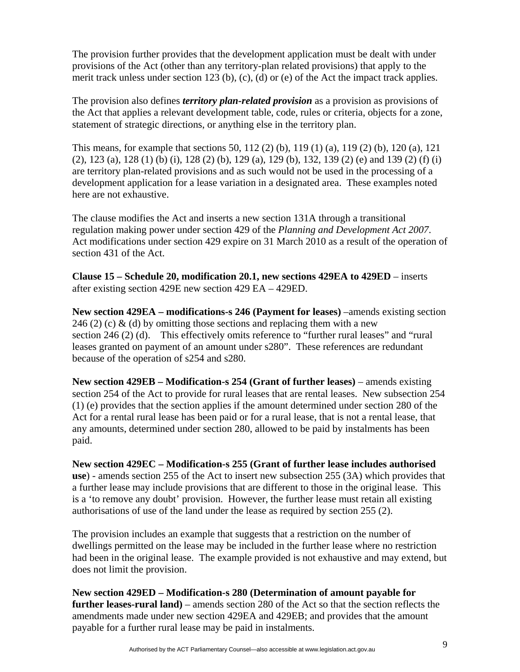The provision further provides that the development application must be dealt with under provisions of the Act (other than any territory-plan related provisions) that apply to the merit track unless under section 123 (b), (c), (d) or (e) of the Act the impact track applies.

The provision also defines *territory plan-related provision* as a provision as provisions of the Act that applies a relevant development table, code, rules or criteria, objects for a zone, statement of strategic directions, or anything else in the territory plan.

This means, for example that sections 50, 112 (2) (b), 119 (1) (a), 119 (2) (b), 120 (a), 121 (2), 123 (a), 128 (1) (b) (i), 128 (2) (b), 129 (a), 129 (b), 132, 139 (2) (e) and 139 (2) (f) (i) are territory plan-related provisions and as such would not be used in the processing of a development application for a lease variation in a designated area. These examples noted here are not exhaustive.

The clause modifies the Act and inserts a new section 131A through a transitional regulation making power under section 429 of the *Planning and Development Act 2007*. Act modifications under section 429 expire on 31 March 2010 as a result of the operation of section 431 of the Act.

**Clause 15 – Schedule 20, modification 20.1, new sections 429EA to 429ED** – inserts after existing section 429E new section 429 EA – 429ED.

**New section 429EA – modifications-s 246 (Payment for leases)** –amends existing section 246 (2) (c) & (d) by omitting those sections and replacing them with a new section 246 (2) (d). This effectively omits reference to "further rural leases" and "rural leases granted on payment of an amount under s280". These references are redundant because of the operation of s254 and s280.

**New section 429EB – Modification-s 254 (Grant of further leases)** – amends existing section 254 of the Act to provide for rural leases that are rental leases. New subsection 254 (1) (e) provides that the section applies if the amount determined under section 280 of the Act for a rental rural lease has been paid or for a rural lease, that is not a rental lease, that any amounts, determined under section 280, allowed to be paid by instalments has been paid.

**New section 429EC – Modification-s 255 (Grant of further lease includes authorised use**) - amends section 255 of the Act to insert new subsection 255 (3A) which provides that a further lease may include provisions that are different to those in the original lease. This is a 'to remove any doubt' provision. However, the further lease must retain all existing authorisations of use of the land under the lease as required by section 255 (2).

The provision includes an example that suggests that a restriction on the number of dwellings permitted on the lease may be included in the further lease where no restriction had been in the original lease. The example provided is not exhaustive and may extend, but does not limit the provision.

**New section 429ED – Modification-s 280 (Determination of amount payable for further leases-rural land)** – amends section 280 of the Act so that the section reflects the amendments made under new section 429EA and 429EB; and provides that the amount payable for a further rural lease may be paid in instalments.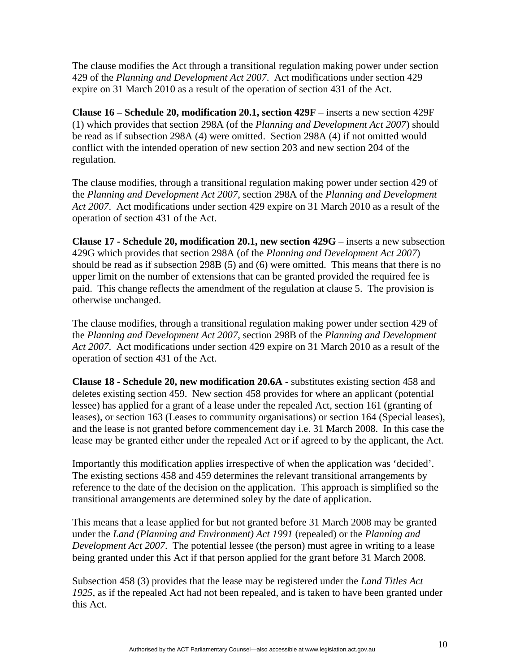The clause modifies the Act through a transitional regulation making power under section 429 of the *Planning and Development Act 2007*. Act modifications under section 429 expire on 31 March 2010 as a result of the operation of section 431 of the Act.

**Clause 16 – Schedule 20, modification 20.1, section 429F** – inserts a new section 429F (1) which provides that section 298A (of the *Planning and Development Act 2007*) should be read as if subsection 298A (4) were omitted. Section 298A (4) if not omitted would conflict with the intended operation of new section 203 and new section 204 of the regulation.

The clause modifies, through a transitional regulation making power under section 429 of the *Planning and Development Act 2007*, section 298A of the *Planning and Development Act 2007*. Act modifications under section 429 expire on 31 March 2010 as a result of the operation of section 431 of the Act.

**Clause 17 - Schedule 20, modification 20.1, new section 429G** – inserts a new subsection 429G which provides that section 298A (of the *Planning and Development Act 2007*) should be read as if subsection 298B (5) and (6) were omitted. This means that there is no upper limit on the number of extensions that can be granted provided the required fee is paid. This change reflects the amendment of the regulation at clause 5. The provision is otherwise unchanged.

The clause modifies, through a transitional regulation making power under section 429 of the *Planning and Development Act 2007*, section 298B of the *Planning and Development Act 2007*. Act modifications under section 429 expire on 31 March 2010 as a result of the operation of section 431 of the Act.

**Clause 18 - Schedule 20, new modification 20.6A** - substitutes existing section 458 and deletes existing section 459. New section 458 provides for where an applicant (potential lessee) has applied for a grant of a lease under the repealed Act, section 161 (granting of leases), or section 163 (Leases to community organisations) or section 164 (Special leases), and the lease is not granted before commencement day i.e. 31 March 2008. In this case the lease may be granted either under the repealed Act or if agreed to by the applicant, the Act.

Importantly this modification applies irrespective of when the application was 'decided'. The existing sections 458 and 459 determines the relevant transitional arrangements by reference to the date of the decision on the application. This approach is simplified so the transitional arrangements are determined soley by the date of application.

This means that a lease applied for but not granted before 31 March 2008 may be granted under the *Land (Planning and Environment) Act 1991* (repealed) or the *Planning and Development Act 2007*. The potential lessee (the person) must agree in writing to a lease being granted under this Act if that person applied for the grant before 31 March 2008.

Subsection 458 (3) provides that the lease may be registered under the *Land Titles Act 1925*, as if the repealed Act had not been repealed, and is taken to have been granted under this Act.